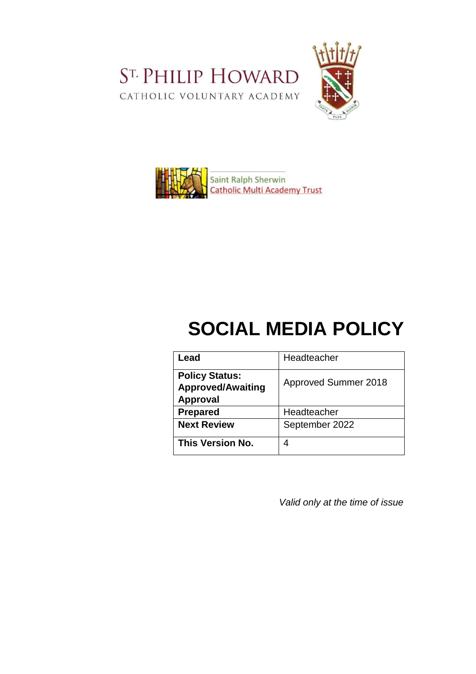ST. PHILIP HOWARD CATHOLIC VOLUNTARY ACADEMY





# **SOCIAL MEDIA POLICY**

| Lead                                                          | Headteacher          |
|---------------------------------------------------------------|----------------------|
| <b>Policy Status:</b><br><b>Approved/Awaiting</b><br>Approval | Approved Summer 2018 |
| <b>Prepared</b>                                               | Headteacher          |
| <b>Next Review</b>                                            | September 2022       |
| <b>This Version No.</b>                                       | 4                    |

*Valid only at the time of issue*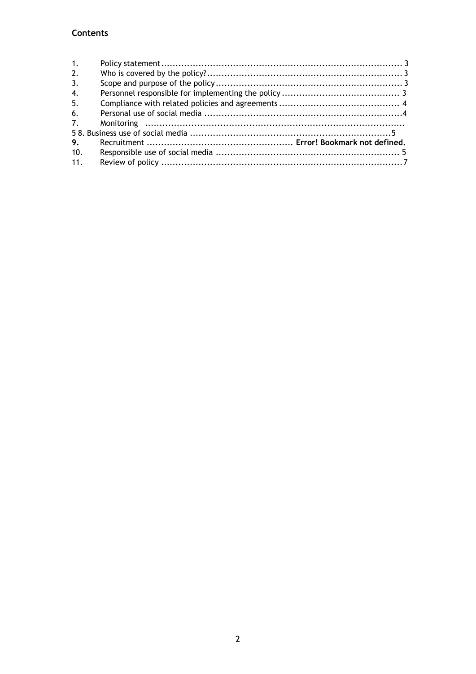# Contents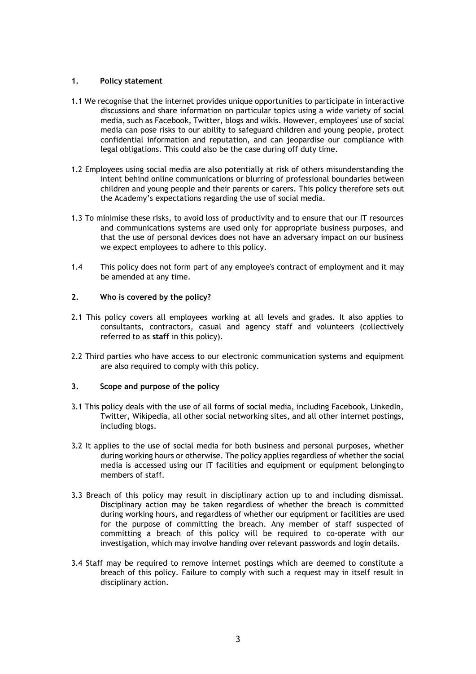# <span id="page-2-0"></span>**1. Policy statement**

- 1.1 We recognise that the internet provides unique opportunities to participate in interactive discussions and share information on particular topics using a wide variety of social media, such as Facebook, Twitter, blogs and wikis. However, employees' use of social media can pose risks to our ability to safeguard children and young people, protect confidential information and reputation, and can jeopardise our compliance with legal obligations. This could also be the case during off duty time.
- 1.2 Employees using social media are also potentially at risk of others misunderstanding the intent behind online communications or blurring of professional boundaries between children and young people and their parents or carers. This policy therefore sets out the Academy's expectations regarding the use of social media.
- 1.3 To minimise these risks, to avoid loss of productivity and to ensure that our IT resources and communications systems are used only for appropriate business purposes, and that the use of personal devices does not have an adversary impact on our business we expect employees to adhere to this policy.
- 1.4 This policy does not form part of any employee's contract of employment and it may be amended at any time.

#### <span id="page-2-1"></span>**2. Who is covered by the policy?**

- 2.1 This policy covers all employees working at all levels and grades. It also applies to consultants, contractors, casual and agency staff and volunteers (collectively referred to as **staff** in this policy).
- 2.2 Third parties who have access to our electronic communication systems and equipment are also required to comply with this policy.

#### <span id="page-2-2"></span>**3. Scope and purpose of the policy**

- 3.1 This policy deals with the use of all forms of social media, including Facebook, LinkedIn, Twitter, Wikipedia, all other social networking sites, and all other internet postings, including blogs.
- 3.2 It applies to the use of social media for both business and personal purposes, whether during working hours or otherwise. The policy applies regardless of whether the social media is accessed using our IT facilities and equipment or equipment belongingto members of staff.
- 3.3 Breach of this policy may result in disciplinary action up to and including dismissal. Disciplinary action may be taken regardless of whether the breach is committed during working hours, and regardless of whether our equipment or facilities are used for the purpose of committing the breach. Any member of staff suspected of committing a breach of this policy will be required to co-operate with our investigation, which may involve handing over relevant passwords and login details.
- 3.4 Staff may be required to remove internet postings which are deemed to constitute a breach of this policy. Failure to comply with such a request may in itself result in disciplinary action.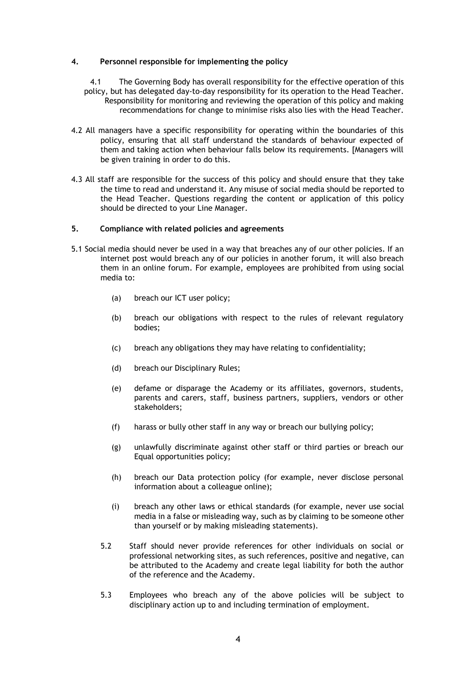#### <span id="page-3-0"></span>**4. Personnel responsible for implementing the policy**

4.1 The Governing Body has overall responsibility for the effective operation of this policy, but has delegated day-to-day responsibility for its operation to the Head Teacher. Responsibility for monitoring and reviewing the operation of this policy and making recommendations for change to minimise risks also lies with the Head Teacher.

- 4.2 All managers have a specific responsibility for operating within the boundaries of this policy, ensuring that all staff understand the standards of behaviour expected of them and taking action when behaviour falls below its requirements. [Managers will be given training in order to do this.
- 4.3 All staff are responsible for the success of this policy and should ensure that they take the time to read and understand it. Any misuse of social media should be reported to the Head Teacher. Questions regarding the content or application of this policy should be directed to your Line Manager.

#### <span id="page-3-1"></span>**5. Compliance with related policies and agreements**

- 5.1 Social media should never be used in a way that breaches any of our other policies. If an internet post would breach any of our policies in another forum, it will also breach them in an online forum. For example, employees are prohibited from using social media to:
	- (a) breach our ICT user policy;
	- (b) breach our obligations with respect to the rules of relevant regulatory bodies;
	- (c) breach any obligations they may have relating to confidentiality;
	- (d) breach our Disciplinary Rules;
	- (e) defame or disparage the Academy or its affiliates, governors, students, parents and carers, staff, business partners, suppliers, vendors or other stakeholders;
	- (f) harass or bully other staff in any way or breach our bullying policy;
	- (g) unlawfully discriminate against other staff or third parties or breach our Equal opportunities policy;
	- (h) breach our Data protection policy (for example, never disclose personal information about a colleague online);
	- (i) breach any other laws or ethical standards (for example, never use social media in a false or misleading way, such as by claiming to be someone other than yourself or by making misleading statements).
	- 5.2 Staff should never provide references for other individuals on social or professional networking sites, as such references, positive and negative, can be attributed to the Academy and create legal liability for both the author of the reference and the Academy.
	- 5.3 Employees who breach any of the above policies will be subject to disciplinary action up to and including termination of employment.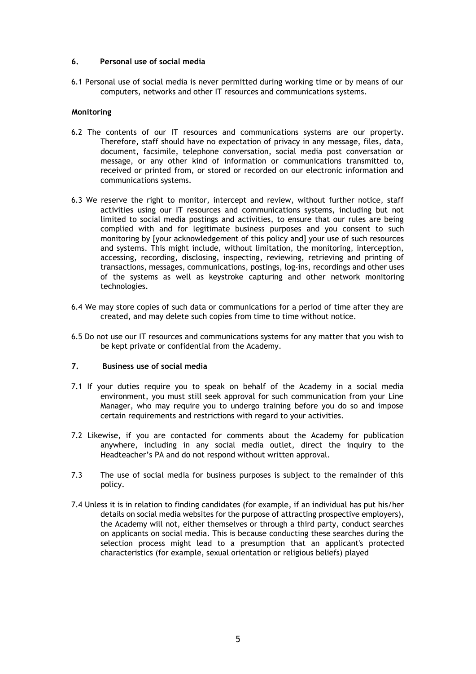# <span id="page-4-0"></span>**6. Personal use of social media**

6.1 Personal use of social media is never permitted during working time or by means of our computers, networks and other IT resources and communications systems.

#### **Monitoring**

- 6.2 The contents of our IT resources and communications systems are our property. Therefore, staff should have no expectation of privacy in any message, files, data, document, facsimile, telephone conversation, social media post conversation or message, or any other kind of information or communications transmitted to, received or printed from, or stored or recorded on our electronic information and communications systems.
- 6.3 We reserve the right to monitor, intercept and review, without further notice, staff activities using our IT resources and communications systems, including but not limited to social media postings and activities, to ensure that our rules are being complied with and for legitimate business purposes and you consent to such monitoring by [your acknowledgement of this policy and] your use of such resources and systems. This might include, without limitation, the monitoring, interception, accessing, recording, disclosing, inspecting, reviewing, retrieving and printing of transactions, messages, communications, postings, log-ins, recordings and other uses of the systems as well as keystroke capturing and other network monitoring technologies.
- 6.4 We may store copies of such data or communications for a period of time after they are created, and may delete such copies from time to time without notice.
- 6.5 Do not use our IT resources and communications systems for any matter that you wish to be kept private or confidential from the Academy.

#### **7. Business use of social media**

- 7.1 If your duties require you to speak on behalf of the Academy in a social media environment, you must still seek approval for such communication from your Line Manager, who may require you to undergo training before you do so and impose certain requirements and restrictions with regard to your activities.
- 7.2 Likewise, if you are contacted for comments about the Academy for publication anywhere, including in any social media outlet, direct the inquiry to the Headteacher's PA and do not respond without written approval.
- 7.3 The use of social media for business purposes is subject to the remainder of this policy.
- 7.4 Unless it is in relation to finding candidates (for example, if an individual has put his/her details on social media websites for the purpose of attracting prospective employers), the Academy will not, either themselves or through a third party, conduct searches on applicants on social media. This is because conducting these searches during the selection process might lead to a presumption that an applicant's protected characteristics (for example, sexual orientation or religious beliefs) played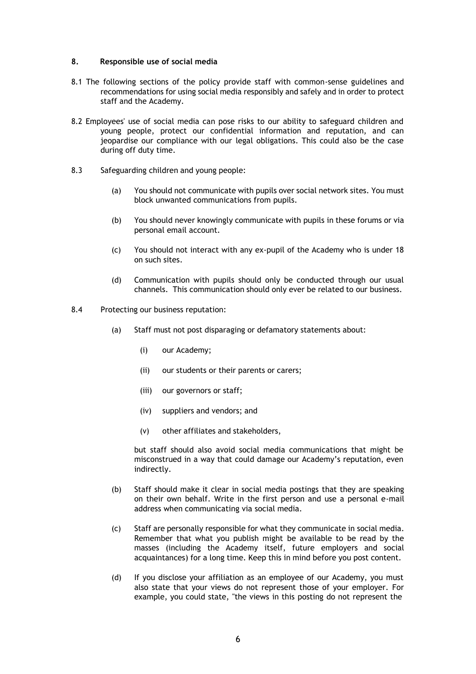#### **8. Responsible use of social media**

- 8.1 The following sections of the policy provide staff with common-sense guidelines and recommendations for using social media responsibly and safely and in order to protect staff and the Academy.
- 8.2 Employees' use of social media can pose risks to our ability to safeguard children and young people, protect our confidential information and reputation, and can jeopardise our compliance with our legal obligations. This could also be the case during off duty time.
- 8.3 Safeguarding children and young people:
	- (a) You should not communicate with pupils over social network sites. You must block unwanted communications from pupils.
	- (b) You should never knowingly communicate with pupils in these forums or via personal email account.
	- (c) You should not interact with any ex-pupil of the Academy who is under 18 on such sites.
	- (d) Communication with pupils should only be conducted through our usual channels. This communication should only ever be related to our business.
- 8.4 Protecting our business reputation:
	- (a) Staff must not post disparaging or defamatory statements about:
		- (i) our Academy;
		- (ii) our students or their parents or carers;
		- (iii) our governors or staff;
		- (iv) suppliers and vendors; and
		- (v) other affiliates and stakeholders,

but staff should also avoid social media communications that might be misconstrued in a way that could damage our Academy's reputation, even indirectly.

- (b) Staff should make it clear in social media postings that they are speaking on their own behalf. Write in the first person and use a personal e-mail address when communicating via social media.
- (c) Staff are personally responsible for what they communicate in social media. Remember that what you publish might be available to be read by the masses (including the Academy itself, future employers and social acquaintances) for a long time. Keep this in mind before you post content.
- (d) If you disclose your affiliation as an employee of our Academy, you must also state that your views do not represent those of your employer. For example, you could state, "the views in this posting do not represent the